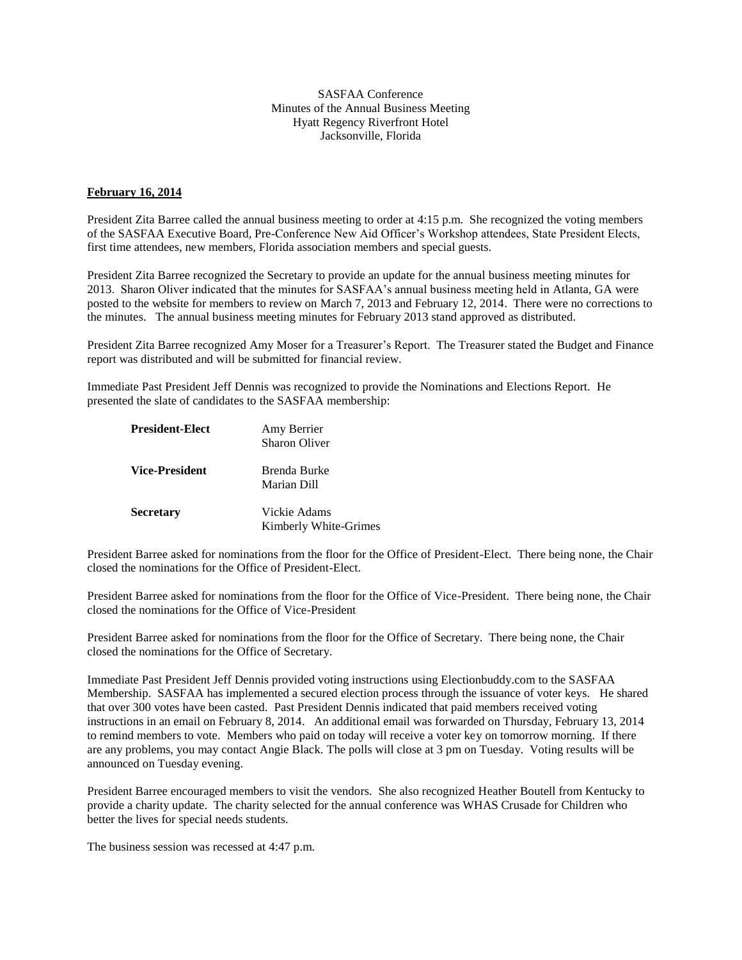## SASFAA Conference Minutes of the Annual Business Meeting Hyatt Regency Riverfront Hotel Jacksonville, Florida

## **February 16, 2014**

President Zita Barree called the annual business meeting to order at 4:15 p.m. She recognized the voting members of the SASFAA Executive Board, Pre-Conference New Aid Officer's Workshop attendees, State President Elects, first time attendees, new members, Florida association members and special guests.

President Zita Barree recognized the Secretary to provide an update for the annual business meeting minutes for 2013. Sharon Oliver indicated that the minutes for SASFAA's annual business meeting held in Atlanta, GA were posted to the website for members to review on March 7, 2013 and February 12, 2014. There were no corrections to the minutes. The annual business meeting minutes for February 2013 stand approved as distributed.

President Zita Barree recognized Amy Moser for a Treasurer's Report. The Treasurer stated the Budget and Finance report was distributed and will be submitted for financial review.

Immediate Past President Jeff Dennis was recognized to provide the Nominations and Elections Report. He presented the slate of candidates to the SASFAA membership:

| <b>President-Elect</b> | Amy Berrier<br><b>Sharon Oliver</b>   |
|------------------------|---------------------------------------|
| <b>Vice-President</b>  | Brenda Burke<br>Marian Dill           |
| <b>Secretary</b>       | Vickie Adams<br>Kimberly White-Grimes |

President Barree asked for nominations from the floor for the Office of President-Elect. There being none, the Chair closed the nominations for the Office of President-Elect.

President Barree asked for nominations from the floor for the Office of Vice-President. There being none, the Chair closed the nominations for the Office of Vice-President

President Barree asked for nominations from the floor for the Office of Secretary. There being none, the Chair closed the nominations for the Office of Secretary.

Immediate Past President Jeff Dennis provided voting instructions using Electionbuddy.com to the SASFAA Membership. SASFAA has implemented a secured election process through the issuance of voter keys. He shared that over 300 votes have been casted. Past President Dennis indicated that paid members received voting instructions in an email on February 8, 2014. An additional email was forwarded on Thursday, February 13, 2014 to remind members to vote. Members who paid on today will receive a voter key on tomorrow morning. If there are any problems, you may contact Angie Black. The polls will close at 3 pm on Tuesday. Voting results will be announced on Tuesday evening.

President Barree encouraged members to visit the vendors. She also recognized Heather Boutell from Kentucky to provide a charity update. The charity selected for the annual conference was WHAS Crusade for Children who better the lives for special needs students.

The business session was recessed at 4:47 p.m.